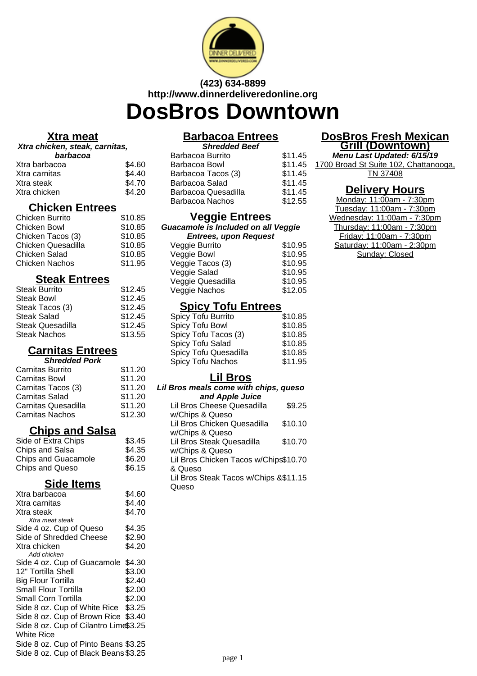

# **(423) 634-8899 http://www.dinnerdeliveredonline.org**

# **DosBros Downtown**

#### **Xtra meat**

#### **Xtra chicken, steak, carnitas,**

| barbacoa      |        |
|---------------|--------|
| Xtra barbacoa | \$4.60 |
| Xtra carnitas | \$4.40 |
| Xtra steak    | \$4.70 |
| Xtra chicken  | \$4.20 |

# **Chicken Entrees**

| \$10.85 |
|---------|
| \$10.85 |
| \$10.85 |
| \$10.85 |
| \$10.85 |
| \$11.95 |
|         |

#### **Steak Entrees**

| <b>Steak Burrito</b> | \$12.45 |
|----------------------|---------|
| <b>Steak Bowl</b>    | \$12.45 |
| Steak Tacos (3)      | \$12.45 |
| Steak Salad          | \$12.45 |
| Steak Quesadilla     | \$12.45 |
| <b>Steak Nachos</b>  | \$13.55 |

# **Carnitas Entrees**

| <b>Shredded Pork</b> |  |  |
|----------------------|--|--|
| \$11.20              |  |  |
| \$11.20              |  |  |
| \$11.20              |  |  |
| \$11.20              |  |  |
| \$11.20              |  |  |
| \$12.30              |  |  |
|                      |  |  |

# **Chips and Salsa**

| \$3.45 |
|--------|
| \$4.35 |
| \$6.20 |
| \$6.15 |
|        |

#### **Side Items**

| Xtra barbacoa                         | \$4.60 |
|---------------------------------------|--------|
| Xtra carnitas                         | \$4.40 |
| Xtra steak                            | \$4.70 |
| Xtra meat steak                       |        |
| Side 4 oz. Cup of Queso               | \$4.35 |
| Side of Shredded Cheese               | \$2.90 |
| Xtra chicken                          | \$4.20 |
| Add chicken                           |        |
| Side 4 oz. Cup of Guacamole           | \$4.30 |
| 12" Tortilla Shell                    | \$3.00 |
| <b>Big Flour Tortilla</b>             | \$2.40 |
| Small Flour Tortilla                  | \$2.00 |
| Small Corn Tortilla                   | \$2.00 |
| Side 8 oz. Cup of White Rice \$3.25   |        |
| Side 8 oz. Cup of Brown Rice \$3.40   |        |
| Side 8 oz. Cup of Cilantro Lime\$3.25 |        |
| White Rice                            |        |
| Side 8 oz. Cup of Pinto Beans \$3.25  |        |
| Side 8 oz. Cup of Black Beans \$3.25  |        |
|                                       |        |

# **Barbacoa Entrees**

| <b>Shredded Beef</b>   |         |  |
|------------------------|---------|--|
| Barbacoa Burrito       | \$11.45 |  |
| Barbacoa Bowl          | \$11.45 |  |
| Barbacoa Tacos (3)     | \$11.45 |  |
| Barbacoa Salad         | \$11.45 |  |
| Barbacoa Quesadilla    | \$11.45 |  |
| <b>Barbacoa Nachos</b> | \$12.55 |  |
|                        |         |  |

### **Veggie Entrees**

**Guacamole is Included on all Veggie Entrees, upon Request**

| Lucio, apon roquost |         |
|---------------------|---------|
| Veggie Burrito      | \$10.95 |
| Veggie Bowl         | \$10.95 |
| Veggie Tacos (3)    | \$10.95 |
| Veggie Salad        | \$10.95 |
| Veggie Quesadilla   | \$10.95 |
| Veggie Nachos       | \$12.05 |
|                     |         |

# **Spicy Tofu Entrees**

| Spicy Tofu Burrito    | \$10.85 |
|-----------------------|---------|
| Spicy Tofu Bowl       | \$10.85 |
| Spicy Tofu Tacos (3)  | \$10.85 |
| Spicy Tofu Salad      | \$10.85 |
| Spicy Tofu Quesadilla | \$10.85 |
| Spicy Tofu Nachos     | \$11.95 |
|                       |         |

# **Lil Bros**

#### **Lil Bros meals come with chips, queso and Apple Juice**

| Lil Bros Cheese Quesadilla            | \$9.25  |
|---------------------------------------|---------|
| w/Chips & Queso                       |         |
| Lil Bros Chicken Quesadilla           | \$10.10 |
| w/Chips & Queso                       |         |
| Lil Bros Steak Quesadilla             | \$10.70 |
| w/Chips & Queso                       |         |
| Lil Bros Chicken Tacos w/Chips\$10.70 |         |
| & Queso                               |         |
| Lil Bros Steak Tacos w/Chips &\$11.15 |         |
| Queso                                 |         |
|                                       |         |

#### **DosBros Fresh Mexican Grill (Downtown)**

**Menu Last Updated: 6/15/19** 1700 Broad St Suite 102, Chattanooga, TN 37408

#### **Delivery Hours**

Monday: 11:00am - 7:30pm Tuesday: 11:00am - 7:30pm Wednesday: 11:00am - 7:30pm Thursday: 11:00am - 7:30pm Friday: 11:00am - 7:30pm Saturday: 11:00am - 2:30pm Sunday: Closed